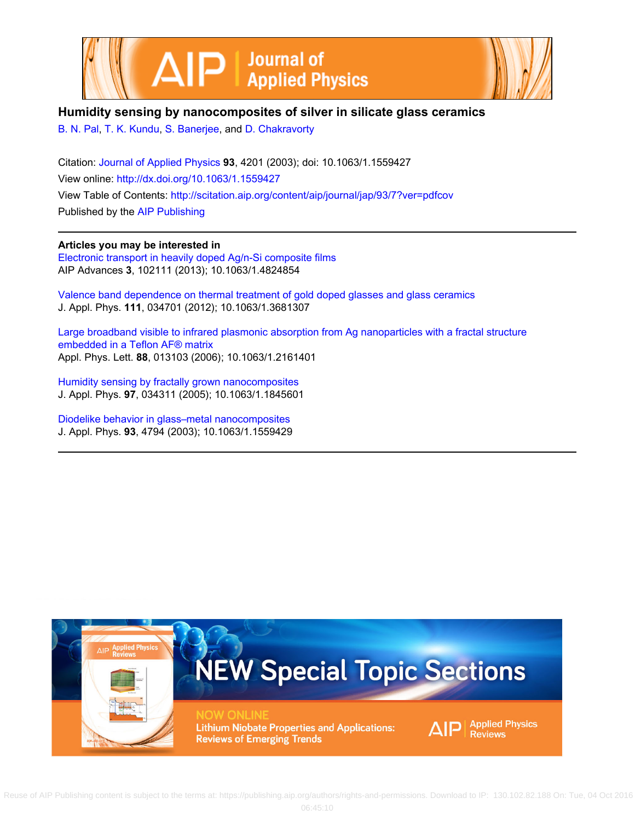



# **Humidity sensing by nanocomposites of silver in silicate glass ceramics**

[B. N. Pal](http://scitation.aip.org/search?value1=B.+N.+Pal&option1=author), [T. K. Kundu,](http://scitation.aip.org/search?value1=T.+K.+Kundu&option1=author) [S. Banerjee](http://scitation.aip.org/search?value1=S.+Banerjee&option1=author), and [D. Chakravorty](http://scitation.aip.org/search?value1=D.+Chakravorty&option1=author)

Citation: [Journal of Applied Physics](http://scitation.aip.org/content/aip/journal/jap?ver=pdfcov) **93**, 4201 (2003); doi: 10.1063/1.1559427 View online: <http://dx.doi.org/10.1063/1.1559427> View Table of Contents: <http://scitation.aip.org/content/aip/journal/jap/93/7?ver=pdfcov> Published by the [AIP Publishing](http://scitation.aip.org/content/aip?ver=pdfcov)

**Articles you may be interested in** [Electronic transport in heavily doped Ag/n-Si composite films](http://scitation.aip.org/content/aip/journal/adva/3/10/10.1063/1.4824854?ver=pdfcov) AIP Advances **3**, 102111 (2013); 10.1063/1.4824854

[Valence band dependence on thermal treatment of gold doped glasses and glass ceramics](http://scitation.aip.org/content/aip/journal/jap/111/3/10.1063/1.3681307?ver=pdfcov) J. Appl. Phys. **111**, 034701 (2012); 10.1063/1.3681307

[Large broadband visible to infrared plasmonic absorption from Ag nanoparticles with a fractal structure](http://scitation.aip.org/content/aip/journal/apl/88/1/10.1063/1.2161401?ver=pdfcov) [embedded in a Teflon AF® matrix](http://scitation.aip.org/content/aip/journal/apl/88/1/10.1063/1.2161401?ver=pdfcov) Appl. Phys. Lett. **88**, 013103 (2006); 10.1063/1.2161401

[Humidity sensing by fractally grown nanocomposites](http://scitation.aip.org/content/aip/journal/jap/97/3/10.1063/1.1845601?ver=pdfcov) J. Appl. Phys. **97**, 034311 (2005); 10.1063/1.1845601

[Diodelike behavior in glass–metal nanocomposites](http://scitation.aip.org/content/aip/journal/jap/93/8/10.1063/1.1559429?ver=pdfcov) J. Appl. Phys. **93**, 4794 (2003); 10.1063/1.1559429

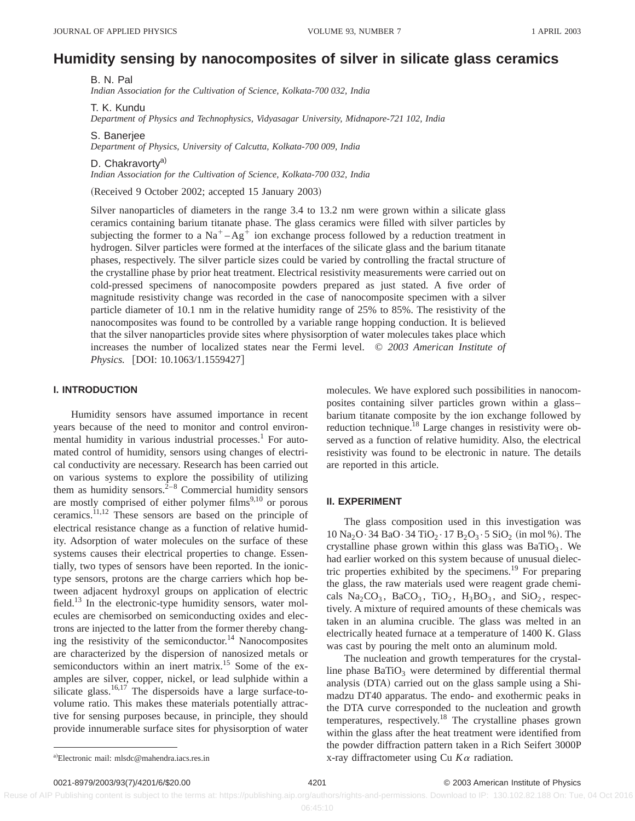# **Humidity sensing by nanocomposites of silver in silicate glass ceramics**

B. N. Pal *Indian Association for the Cultivation of Science, Kolkata-700 032, India*

T. K. Kundu

*Department of Physics and Technophysics, Vidyasagar University, Midnapore-721 102, India*

S. Banerjee *Department of Physics, University of Calcutta, Kolkata-700 009, India*

D. Chakravorty<sup>a)</sup> *Indian Association for the Cultivation of Science, Kolkata-700 032, India*

(Received 9 October 2002; accepted 15 January 2003)

Silver nanoparticles of diameters in the range 3.4 to 13.2 nm were grown within a silicate glass ceramics containing barium titanate phase. The glass ceramics were filled with silver particles by subjecting the former to a  $Na<sup>+</sup>-Ag<sup>+</sup>$  ion exchange process followed by a reduction treatment in hydrogen. Silver particles were formed at the interfaces of the silicate glass and the barium titanate phases, respectively. The silver particle sizes could be varied by controlling the fractal structure of the crystalline phase by prior heat treatment. Electrical resistivity measurements were carried out on cold-pressed specimens of nanocomposite powders prepared as just stated. A five order of magnitude resistivity change was recorded in the case of nanocomposite specimen with a silver particle diameter of 10.1 nm in the relative humidity range of 25% to 85%. The resistivity of the nanocomposites was found to be controlled by a variable range hopping conduction. It is believed that the silver nanoparticles provide sites where physisorption of water molecules takes place which increases the number of localized states near the Fermi level. © *2003 American Institute of Physics.* [DOI: 10.1063/1.1559427]

## **I. INTRODUCTION**

Humidity sensors have assumed importance in recent years because of the need to monitor and control environmental humidity in various industrial processes.<sup>1</sup> For automated control of humidity, sensors using changes of electrical conductivity are necessary. Research has been carried out on various systems to explore the possibility of utilizing them as humidity sensors.<sup>2–8</sup> Commercial humidity sensors are mostly comprised of either polymer films $9,10$  or porous ceramics.11,12 These sensors are based on the principle of electrical resistance change as a function of relative humidity. Adsorption of water molecules on the surface of these systems causes their electrical properties to change. Essentially, two types of sensors have been reported. In the ionictype sensors, protons are the charge carriers which hop between adjacent hydroxyl groups on application of electric field.<sup>13</sup> In the electronic-type humidity sensors, water molecules are chemisorbed on semiconducting oxides and electrons are injected to the latter from the former thereby changing the resistivity of the semiconductor.<sup>14</sup> Nanocomposites are characterized by the dispersion of nanosized metals or semiconductors within an inert matrix.<sup>15</sup> Some of the examples are silver, copper, nickel, or lead sulphide within a silicate glass.<sup>16,17</sup> The dispersoids have a large surface-tovolume ratio. This makes these materials potentially attractive for sensing purposes because, in principle, they should provide innumerable surface sites for physisorption of water molecules. We have explored such possibilities in nanocomposites containing silver particles grown within a glass– barium titanate composite by the ion exchange followed by reduction technique.18 Large changes in resistivity were observed as a function of relative humidity. Also, the electrical resistivity was found to be electronic in nature. The details are reported in this article.

#### **II. EXPERIMENT**

The glass composition used in this investigation was  $10 \text{ Na}_2\text{O} \cdot 34 \text{ BaO} \cdot 34 \text{ TiO}_2 \cdot 17 \text{ B}_2\text{O}_3 \cdot 5 \text{ SiO}_2 \text{ (in mol %)}$ . The crystalline phase grown within this glass was  $BaTiO<sub>3</sub>$ . We had earlier worked on this system because of unusual dielectric properties exhibited by the specimens.19 For preparing the glass, the raw materials used were reagent grade chemicals  $Na_2CO_3$ ,  $BaCO_3$ ,  $TiO_2$ ,  $H_3BO_3$ , and  $SiO_2$ , respectively. A mixture of required amounts of these chemicals was taken in an alumina crucible. The glass was melted in an electrically heated furnace at a temperature of 1400 K. Glass was cast by pouring the melt onto an aluminum mold.

The nucleation and growth temperatures for the crystalline phase  $BaTiO<sub>3</sub>$  were determined by differential thermal analysis (DTA) carried out on the glass sample using a Shimadzu DT40 apparatus. The endo- and exothermic peaks in the DTA curve corresponded to the nucleation and growth temperatures, respectively.18 The crystalline phases grown within the glass after the heat treatment were identified from the powder diffraction pattern taken in a Rich Seifert 3000P x-ray diffractometer using Cu  $K\alpha$  radiation.

Reuse of AIP Publishing content is subject to the terms at: https://publishing.aip.org/authors/rights-and-permissions. Download to IP: 130.102.82.188 On: Tue, 04 Oct 2016

a)Electronic mail: mlsdc@mahendra.iacs.res.in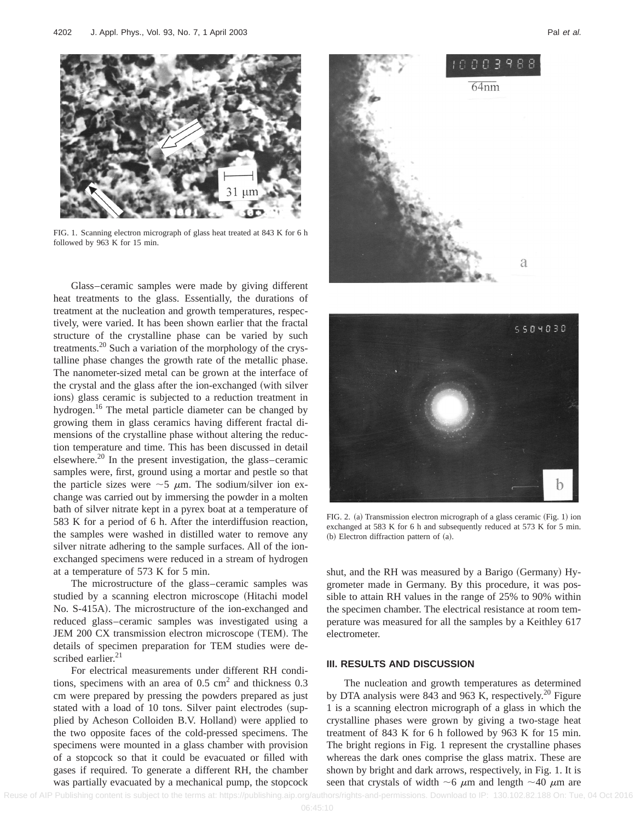

FIG. 1. Scanning electron micrograph of glass heat treated at 843 K for 6 h followed by 963 K for 15 min.

Glass–ceramic samples were made by giving different heat treatments to the glass. Essentially, the durations of treatment at the nucleation and growth temperatures, respectively, were varied. It has been shown earlier that the fractal structure of the crystalline phase can be varied by such treatments.20 Such a variation of the morphology of the crystalline phase changes the growth rate of the metallic phase. The nanometer-sized metal can be grown at the interface of the crystal and the glass after the ion-exchanged (with silver ions) glass ceramic is subjected to a reduction treatment in hydrogen.<sup>16</sup> The metal particle diameter can be changed by growing them in glass ceramics having different fractal dimensions of the crystalline phase without altering the reduction temperature and time. This has been discussed in detail elsewhere.20 In the present investigation, the glass–ceramic samples were, first, ground using a mortar and pestle so that the particle sizes were  $\sim$  5  $\mu$ m. The sodium/silver ion exchange was carried out by immersing the powder in a molten bath of silver nitrate kept in a pyrex boat at a temperature of 583 K for a period of 6 h. After the interdiffusion reaction, the samples were washed in distilled water to remove any silver nitrate adhering to the sample surfaces. All of the ionexchanged specimens were reduced in a stream of hydrogen at a temperature of 573 K for 5 min.

The microstructure of the glass–ceramic samples was studied by a scanning electron microscope (Hitachi model No. S-415A). The microstructure of the ion-exchanged and reduced glass–ceramic samples was investigated using a JEM 200 CX transmission electron microscope (TEM). The details of specimen preparation for TEM studies were described earlier. $21$ 

For electrical measurements under different RH conditions, specimens with an area of  $0.5 \text{ cm}^2$  and thickness  $0.3$ cm were prepared by pressing the powders prepared as just stated with a load of 10 tons. Silver paint electrodes (supplied by Acheson Colloiden B.V. Holland) were applied to the two opposite faces of the cold-pressed specimens. The specimens were mounted in a glass chamber with provision of a stopcock so that it could be evacuated or filled with gases if required. To generate a different RH, the chamber was partially evacuated by a mechanical pump, the stopcock





FIG. 2. (a) Transmission electron micrograph of a glass ceramic (Fig. 1) ion exchanged at 583 K for 6 h and subsequently reduced at 573 K for 5 min.  $(b)$  Electron diffraction pattern of  $(a)$ .

shut, and the RH was measured by a Barigo (Germany) Hygrometer made in Germany. By this procedure, it was possible to attain RH values in the range of 25% to 90% within the specimen chamber. The electrical resistance at room temperature was measured for all the samples by a Keithley 617 electrometer.

#### **III. RESULTS AND DISCUSSION**

The nucleation and growth temperatures as determined by DTA analysis were 843 and 963 K, respectively.<sup>20</sup> Figure 1 is a scanning electron micrograph of a glass in which the crystalline phases were grown by giving a two-stage heat treatment of 843 K for 6 h followed by 963 K for 15 min. The bright regions in Fig. 1 represent the crystalline phases whereas the dark ones comprise the glass matrix. These are shown by bright and dark arrows, respectively, in Fig. 1. It is seen that crystals of width  $\sim$ 6  $\mu$ m and length  $\sim$ 40  $\mu$ m are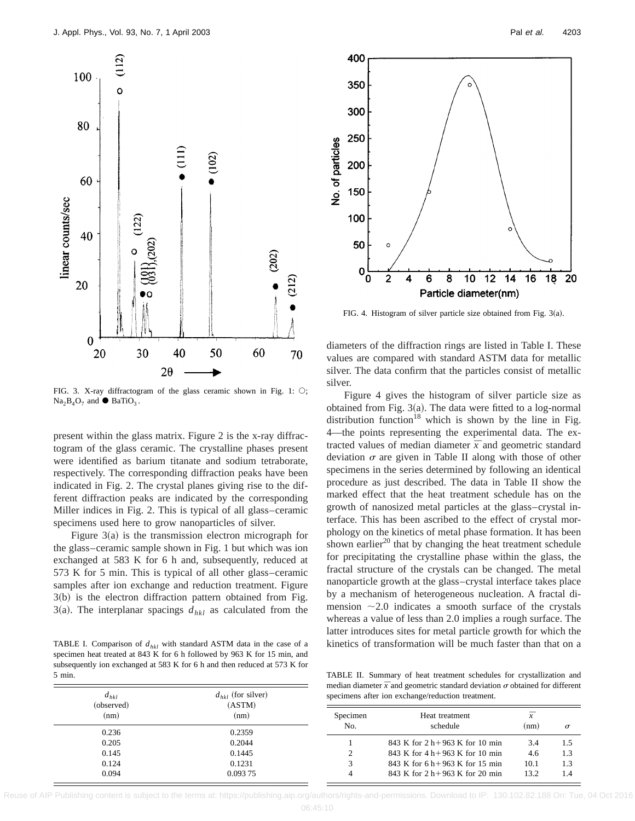

FIG. 3. X-ray diffractogram of the glass ceramic shown in Fig. 1:  $\bigcirc$ ;  $Na<sub>2</sub>B<sub>4</sub>O<sub>7</sub>$  and  $\bullet$  BaTiO<sub>3</sub>.

present within the glass matrix. Figure 2 is the x-ray diffractogram of the glass ceramic. The crystalline phases present were identified as barium titanate and sodium tetraborate, respectively. The corresponding diffraction peaks have been indicated in Fig. 2. The crystal planes giving rise to the different diffraction peaks are indicated by the corresponding Miller indices in Fig. 2. This is typical of all glass–ceramic specimens used here to grow nanoparticles of silver.

Figure  $3(a)$  is the transmission electron micrograph for the glass–ceramic sample shown in Fig. 1 but which was ion exchanged at 583 K for 6 h and, subsequently, reduced at 573 K for 5 min. This is typical of all other glass–ceramic samples after ion exchange and reduction treatment. Figure  $3(b)$  is the electron diffraction pattern obtained from Fig. 3(a). The interplanar spacings  $d_{hkl}$  as calculated from the

TABLE I. Comparison of  $d_{hkl}$  with standard ASTM data in the case of a specimen heat treated at 843 K for 6 h followed by 963 K for 15 min, and subsequently ion exchanged at 583 K for 6 h and then reduced at 573 K for 5 min.

 $d_{\text{tot}}$  (for silver)

 $d_{ij}$ 



FIG. 4. Histogram of silver particle size obtained from Fig.  $3(a)$ .

diameters of the diffraction rings are listed in Table I. These values are compared with standard ASTM data for metallic silver. The data confirm that the particles consist of metallic silver.

Figure 4 gives the histogram of silver particle size as obtained from Fig.  $3(a)$ . The data were fitted to a log-normal distribution function<sup>18</sup> which is shown by the line in Fig. 4—the points representing the experimental data. The extracted values of median diameter  $\bar{x}$  and geometric standard deviation  $\sigma$  are given in Table II along with those of other specimens in the series determined by following an identical procedure as just described. The data in Table II show the marked effect that the heat treatment schedule has on the growth of nanosized metal particles at the glass–crystal interface. This has been ascribed to the effect of crystal morphology on the kinetics of metal phase formation. It has been shown earlier $^{20}$  that by changing the heat treatment schedule for precipitating the crystalline phase within the glass, the fractal structure of the crystals can be changed. The metal nanoparticle growth at the glass–crystal interface takes place by a mechanism of heterogeneous nucleation. A fractal dimension  $\sim$ 2.0 indicates a smooth surface of the crystals whereas a value of less than 2.0 implies a rough surface. The latter introduces sites for metal particle growth for which the kinetics of transformation will be much faster than that on a

TABLE II. Summary of heat treatment schedules for crystallization and median diameter  $\bar{x}$  and geometric standard deviation  $\sigma$  obtained for different cimens after ion exchange/reduction treatment

| — пкі<br>(observed) | $-$ <i>n</i> <sub>Kl</sub> $        -$<br>(ASTM)<br>(nm) | specificity arter four exemange/reduction treatment. |                                      |      |          |  |
|---------------------|----------------------------------------------------------|------------------------------------------------------|--------------------------------------|------|----------|--|
| (nm)                |                                                          | Specimen<br>No.                                      | Heat treatment<br>schedule           | (nm) |          |  |
| 0.236               | 0.2359                                                   |                                                      |                                      |      | $\sigma$ |  |
| 0.205               | 0.2044                                                   |                                                      | 843 K for $2 h + 963 K$ for 10 min   | 3.4  |          |  |
| 0.145               | 0.1445                                                   |                                                      | 843 K for $4 h + 963 K$ for 10 min   | 4.6  | 1.3      |  |
| 0.124               | 0.1231                                                   |                                                      | 843 K for $6 h + 963 K$ for 15 min   | 10.1 | 1.3      |  |
| 0.094               | 0.093 75                                                 |                                                      | 843 K for $2 h + 963 K$ for $20 min$ | 13.2 | 1.4      |  |

Reuse of AIP Publishing content is subject to the terms at: https://publishing.aip.org/authors/rights-and-permissions. Download to IP: 130.102.82.188 On: Tue, 04 Oct 2016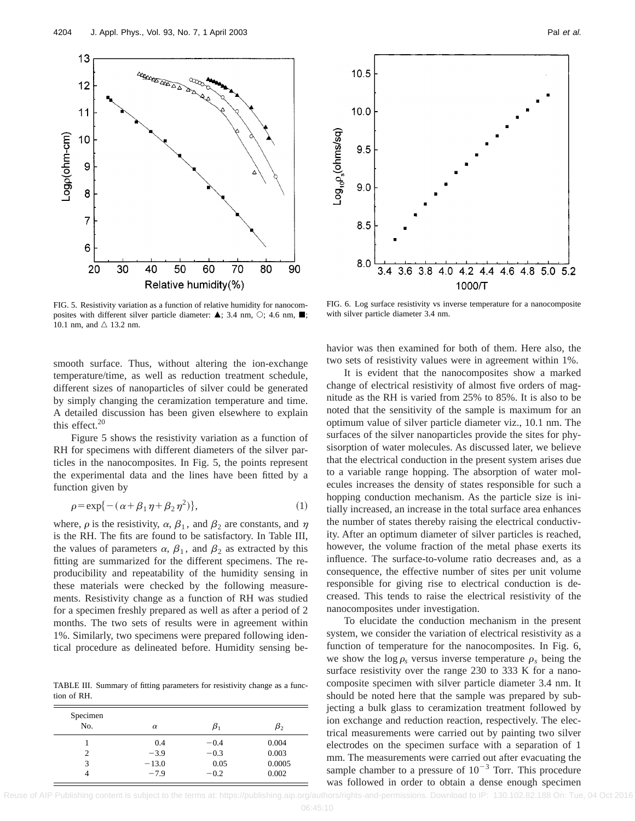



FIG. 5. Resistivity variation as a function of relative humidity for nanocomposites with different silver particle diameter:  $\triangle$ ; 3.4 nm,  $\heartsuit$ ; 4.6 nm,  $\blacksquare$ ; 10.1 nm, and  $\triangle$  13.2 nm.

FIG. 6. Log surface resistivity vs inverse temperature for a nanocomposite with silver particle diameter 3.4 nm.

smooth surface. Thus, without altering the ion-exchange temperature/time, as well as reduction treatment schedule, different sizes of nanoparticles of silver could be generated by simply changing the ceramization temperature and time. A detailed discussion has been given elsewhere to explain this effect. $20$ 

Figure 5 shows the resistivity variation as a function of RH for specimens with different diameters of the silver particles in the nanocomposites. In Fig. 5, the points represent the experimental data and the lines have been fitted by a function given by

$$
\rho = \exp\{-(\alpha + \beta_1 \eta + \beta_2 \eta^2)\},\tag{1}
$$

where,  $\rho$  is the resistivity,  $\alpha$ ,  $\beta_1$ , and  $\beta_2$  are constants, and  $\eta$ is the RH. The fits are found to be satisfactory. In Table III, the values of parameters  $\alpha$ ,  $\beta_1$ , and  $\beta_2$  as extracted by this fitting are summarized for the different specimens. The reproducibility and repeatability of the humidity sensing in these materials were checked by the following measurements. Resistivity change as a function of RH was studied for a specimen freshly prepared as well as after a period of 2 months. The two sets of results were in agreement within 1%. Similarly, two specimens were prepared following identical procedure as delineated before. Humidity sensing be-

TABLE III. Summary of fitting parameters for resistivity change as a function of RH.

| Specimen       |          |        |           |
|----------------|----------|--------|-----------|
| No.            | $\alpha$ | Þ1     | $\beta_2$ |
|                | 0.4      | $-0.4$ | 0.004     |
| $\overline{c}$ | $-3.9$   | $-0.3$ | 0.003     |
| 3              | $-13.0$  | 0.05   | 0.0005    |
| 4              | $-7.9$   | $-0.2$ | 0.002     |

havior was then examined for both of them. Here also, the two sets of resistivity values were in agreement within 1%.

It is evident that the nanocomposites show a marked change of electrical resistivity of almost five orders of magnitude as the RH is varied from 25% to 85%. It is also to be noted that the sensitivity of the sample is maximum for an optimum value of silver particle diameter viz., 10.1 nm. The surfaces of the silver nanoparticles provide the sites for physisorption of water molecules. As discussed later, we believe that the electrical conduction in the present system arises due to a variable range hopping. The absorption of water molecules increases the density of states responsible for such a hopping conduction mechanism. As the particle size is initially increased, an increase in the total surface area enhances the number of states thereby raising the electrical conductivity. After an optimum diameter of silver particles is reached, however, the volume fraction of the metal phase exerts its influence. The surface-to-volume ratio decreases and, as a consequence, the effective number of sites per unit volume responsible for giving rise to electrical conduction is decreased. This tends to raise the electrical resistivity of the nanocomposites under investigation.

To elucidate the conduction mechanism in the present system, we consider the variation of electrical resistivity as a function of temperature for the nanocomposites. In Fig. 6, we show the  $\log \rho_s$  versus inverse temperature  $\rho_s$  being the surface resistivity over the range 230 to 333 K for a nanocomposite specimen with silver particle diameter 3.4 nm. It should be noted here that the sample was prepared by subjecting a bulk glass to ceramization treatment followed by ion exchange and reduction reaction, respectively. The electrical measurements were carried out by painting two silver electrodes on the specimen surface with a separation of 1 mm. The measurements were carried out after evacuating the sample chamber to a pressure of  $10^{-3}$  Torr. This procedure was followed in order to obtain a dense enough specimen

Reuse of AIP Publishing content is subject to the terms at: https://publishing.aip.org/authors/rights-and-permissions. Download to IP: 130.102.82.188 On: Tue, 04 Oct 2016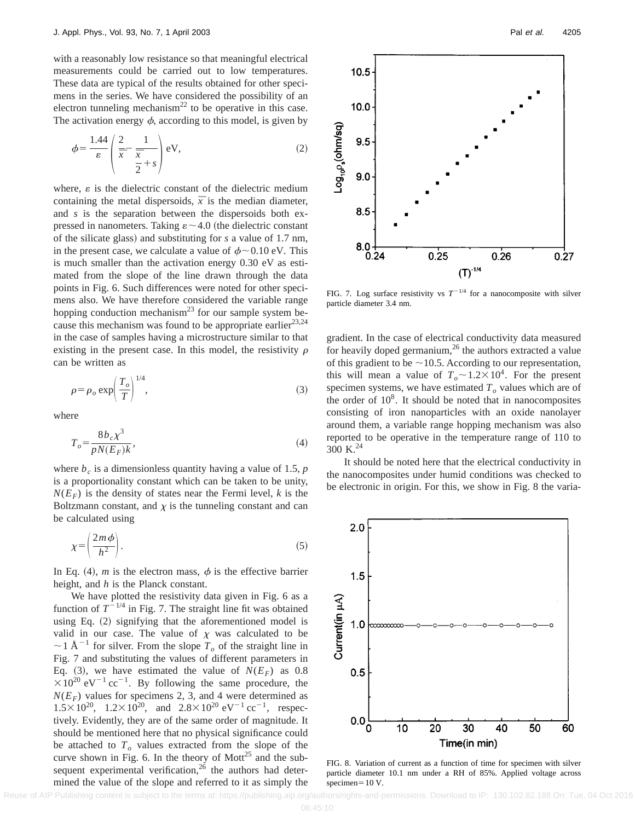with a reasonably low resistance so that meaningful electrical measurements could be carried out to low temperatures. These data are typical of the results obtained for other specimens in the series. We have considered the possibility of an electron tunneling mechanism<sup>22</sup> to be operative in this case. The activation energy  $\phi$ , according to this model, is given by

$$
\phi = \frac{1.44}{\varepsilon} \left( \frac{2}{\overline{x}} - \frac{1}{\overline{x}} \right) \text{eV},\tag{2}
$$

where,  $\varepsilon$  is the dielectric constant of the dielectric medium containing the metal dispersoids,  $\bar{x}$  is the median diameter, and *s* is the separation between the dispersoids both expressed in nanometers. Taking  $\varepsilon \sim 4.0$  (the dielectric constant of the silicate glass) and substituting for *s* a value of 1.7 nm, in the present case, we calculate a value of  $\phi \sim 0.10 \text{ eV}$ . This is much smaller than the activation energy 0.30 eV as estimated from the slope of the line drawn through the data points in Fig. 6. Such differences were noted for other specimens also. We have therefore considered the variable range hopping conduction mechanism<sup>23</sup> for our sample system because this mechanism was found to be appropriate earlier<sup>23,24</sup> in the case of samples having a microstructure similar to that existing in the present case. In this model, the resistivity  $\rho$ can be written as

$$
\rho = \rho_o \exp\left(\frac{T_o}{T}\right)^{1/4},\tag{3}
$$

where

$$
T_o = \frac{8b_c\chi^3}{pN(E_F)k},\tag{4}
$$

where  $b_c$  is a dimensionless quantity having a value of 1.5,  $p$ is a proportionality constant which can be taken to be unity,  $N(E_F)$  is the density of states near the Fermi level, *k* is the Boltzmann constant, and  $\chi$  is the tunneling constant and can be calculated using

$$
\chi = \left(\frac{2m\phi}{h^2}\right). \tag{5}
$$

In Eq. (4), *m* is the electron mass,  $\phi$  is the effective barrier height, and *h* is the Planck constant.

We have plotted the resistivity data given in Fig. 6 as a function of  $T^{-1/4}$  in Fig. 7. The straight line fit was obtained using Eq.  $(2)$  signifying that the aforementioned model is valid in our case. The value of  $\chi$  was calculated to be  $\sim$  1 Å<sup>-1</sup> for silver. From the slope  $T<sub>o</sub>$  of the straight line in Fig. 7 and substituting the values of different parameters in Eq. (3), we have estimated the value of  $N(E_F)$  as 0.8  $\times 10^{20}$  eV<sup>-1</sup> cc<sup>-1</sup>. By following the same procedure, the  $N(E_F)$  values for specimens 2, 3, and 4 were determined as  $1.5 \times 10^{20}$ ,  $1.2 \times 10^{20}$ , and  $2.8 \times 10^{20}$  eV<sup>-1</sup> cc<sup>-1</sup>, respectively. Evidently, they are of the same order of magnitude. It should be mentioned here that no physical significance could be attached to  $T<sub>o</sub>$  values extracted from the slope of the curve shown in Fig. 6. In the theory of Mott<sup>25</sup> and the subsequent experimental verification, $26$  the authors had determined the value of the slope and referred to it as simply the



FIG. 7. Log surface resistivity vs  $T^{-1/4}$  for a nanocomposite with silver particle diameter 3.4 nm.

gradient. In the case of electrical conductivity data measured for heavily doped germanium, $2<sup>6</sup>$  the authors extracted a value of this gradient to be  $\sim$ 10.5. According to our representation, this will mean a value of  $T_o \sim 1.2 \times 10^4$ . For the present specimen systems, we have estimated  $T<sub>o</sub>$  values which are of the order of  $10<sup>8</sup>$ . It should be noted that in nanocomposites consisting of iron nanoparticles with an oxide nanolayer around them, a variable range hopping mechanism was also reported to be operative in the temperature range of 110 to 300 K. $^{24}$ 

It should be noted here that the electrical conductivity in the nanocomposites under humid conditions was checked to be electronic in origin. For this, we show in Fig. 8 the varia-



FIG. 8. Variation of current as a function of time for specimen with silver particle diameter 10.1 nm under a RH of 85%. Applied voltage across specimen $=10$  V.